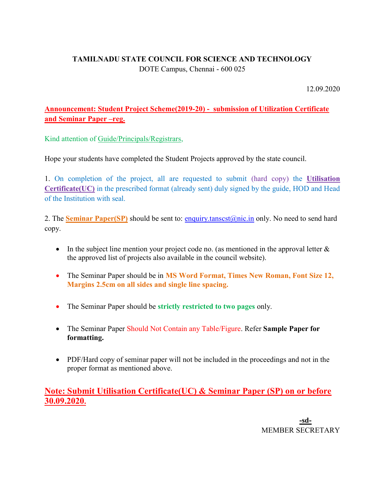# TAMILNADU STATE COUNCIL FOR SCIENCE AND TECHNOLOGY DOTE Campus, Chennai - 600 025

12.09.2020

# Announcement: Student Project Scheme(2019-20) - submission of Utilization Certificate and Seminar Paper –reg.

Kind attention of Guide/Principals/Registrars,

Hope your students have completed the Student Projects approved by the state council.

1. On completion of the project, all are requested to submit (hard copy) the Utilisation Certificate(UC) in the prescribed format (already sent) duly signed by the guide, HOD and Head of the Institution with seal.

2. The Seminar Paper(SP) should be sent to: enquiry.tansest@nic.in only. No need to send hard copy.

- In the subject line mention your project code no. (as mentioned in the approval letter  $\&$ the approved list of projects also available in the council website).
- The Seminar Paper should be in MS Word Format, Times New Roman, Font Size 12, Margins 2.5cm on all sides and single line spacing.
- The Seminar Paper should be strictly restricted to two pages only.
- The Seminar Paper Should Not Contain any Table/Figure. Refer Sample Paper for formatting.
- PDF/Hard copy of seminar paper will not be included in the proceedings and not in the proper format as mentioned above.

Note: Submit Utilisation Certificate(UC) & Seminar Paper (SP) on or before 30.09.2020.

> -sd-MEMBER SECRETARY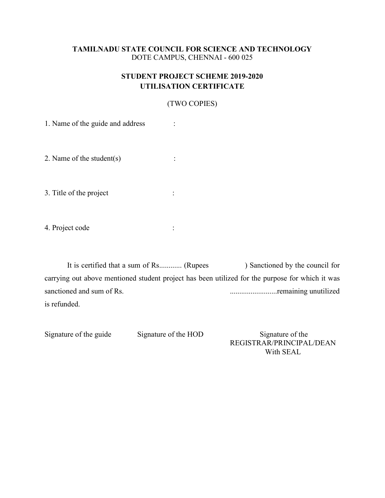## TAMILNADU STATE COUNCIL FOR SCIENCE AND TECHNOLOGY DOTE CAMPUS, CHENNAI - 600 025

## STUDENT PROJECT SCHEME 2019-2020 UTILISATION CERTIFICATE

## (TWO COPIES)

1. Name of the guide and address :

2. Name of the student(s) :

3. Title of the project :

4. Project code :

It is certified that a sum of Rs............ (Rupees ) Sanctioned by the council for carrying out above mentioned student project has been utilized for the purpose for which it was sanctioned and sum of Rs. .........................remaining unutilized is refunded.

Signature of the guide Signature of the HOD Signature of the REGISTRAR/PRINCIPAL/DEAN With SEAL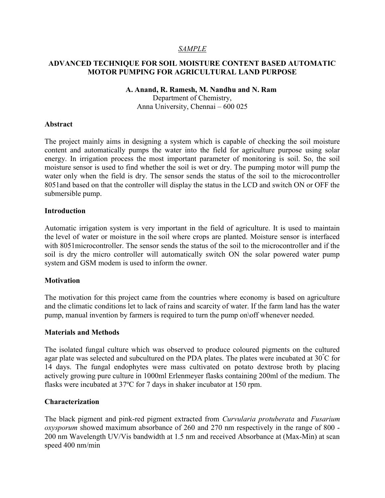## SAMPLE

## ADVANCED TECHNIQUE FOR SOIL MOISTURE CONTENT BASED AUTOMATIC MOTOR PUMPING FOR AGRICULTURAL LAND PURPOSE

#### A. Anand, R. Ramesh, M. Nandhu and N. Ram

Department of Chemistry, Anna University, Chennai – 600 025

#### Abstract

The project mainly aims in designing a system which is capable of checking the soil moisture content and automatically pumps the water into the field for agriculture purpose using solar energy. In irrigation process the most important parameter of monitoring is soil. So, the soil moisture sensor is used to find whether the soil is wet or dry. The pumping motor will pump the water only when the field is dry. The sensor sends the status of the soil to the microcontroller 8051and based on that the controller will display the status in the LCD and switch ON or OFF the submersible pump.

## Introduction

Automatic irrigation system is very important in the field of agriculture. It is used to maintain the level of water or moisture in the soil where crops are planted. Moisture sensor is interfaced with 8051microcontroller. The sensor sends the status of the soil to the microcontroller and if the soil is dry the micro controller will automatically switch ON the solar powered water pump system and GSM modem is used to inform the owner.

## **Motivation**

The motivation for this project came from the countries where economy is based on agriculture and the climatic conditions let to lack of rains and scarcity of water. If the farm land has the water pump, manual invention by farmers is required to turn the pump on\off whenever needed.

## Materials and Methods

The isolated fungal culture which was observed to produce coloured pigments on the cultured agar plate was selected and subcultured on the PDA plates. The plates were incubated at  $30^{\circ}$ C for 14 days. The fungal endophytes were mass cultivated on potato dextrose broth by placing actively growing pure culture in 1000ml Erlenmeyer flasks containing 200ml of the medium. The flasks were incubated at 37ºC for 7 days in shaker incubator at 150 rpm.

## Characterization

The black pigment and pink-red pigment extracted from Curvularia protuberata and Fusarium oxysporum showed maximum absorbance of 260 and 270 nm respectively in the range of 800 - 200 nm Wavelength UV/Vis bandwidth at 1.5 nm and received Absorbance at (Max-Min) at scan speed 400 nm/min